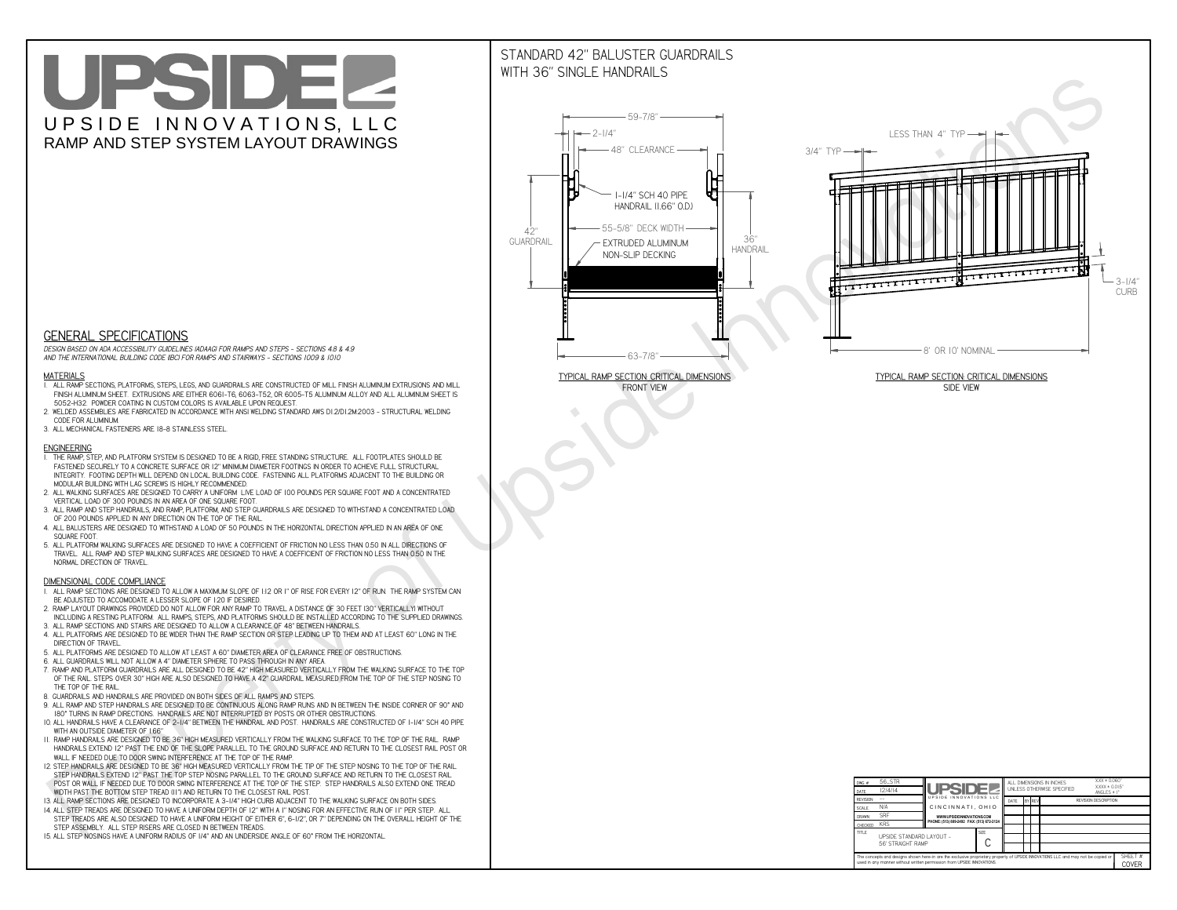# UPSIDEL UPSIDE INNOVATIONS, LLC RAMP AND STEP SYSTEM LAYOUT DRAWINGS

## STANDARD 42" BALUSTER GUARDRAILSWITH 36" SINGLE HANDRAILS

**FRONT VIEW**





**GENERAL SPECIFICATIONS**

 *DESIGN BASED ON ADA ACCESSIBILITY GUIDELINES (ADAAG) FOR RAMPS AND STEPS - SECTIONS 4.8 & 4.9AND THE INTERNATIONAL BUILDING CODE (IBC) FOR RAMPS AND STAIRWAYS - SECTIONS 1009 & 1010*

#### **MATERIALS**

- **1. ALL RAMP SECTIONS, PLATFORMS, STEPS, LEGS, AND GUARDRAILS ARE CONSTRUCTED OF MILL FINISH ALUMINUM EXTRUSIONS AND MILL FINISH ALUMINUM SHEET. EXTRUSIONS ARE EITHER 6061-T6, 6063-T52, OR 6005-T5 ALUMINUM ALLOY AND ALL ALUMINUM SHEET IS 5052-H32. POWDER COATING IN CUSTOM COLORS IS AVAILABLE UPON REQUEST.**
- **2. WELDED ASSEMBLIES ARE FABRICATED IN ACCORDANCE WITH ANSI WELDING STANDARD AWS D1.2/D1.2M:2003 STRUCTURAL WELDING CODE FOR ALUMINUM.**
- **3. ALL MECHANICAL FASTENERS ARE 18-8 STAINLESS STEEL.**

#### **ENGINEERING**

- **1. THE RAMP, STEP, AND PLATFORM SYSTEM IS DESIGNED TO BE A RIGID, FREE STANDING STRUCTURE. ALL FOOTPLATES SHOULD BE FASTENED SECURELY TO A CONCRETE SURFACE OR 12" MINIMUM DIAMETER FOOTINGS IN ORDER TO ACHIEVE FULL STRUCTURAL INTEGRITY. FOOTING DEPTH WILL DEPEND ON LOCAL BUILDING CODE. FASTENING ALL PLATFORMS ADJACENT TO THE BUILDING OR MODULAR BUILDING WITH LAG SCREWS IS HIGHLY RECOMMENDED.**
- **2. ALL WALKING SURFACES ARE DESIGNED TO CARRY A UNIFORM LIVE LOAD OF 100 POUNDS PER SQUARE FOOT AND A CONCENTRATED VERTICAL LOAD OF 300 POUNDS IN AN AREA OF ONE SQUARE FOOT.**
- **3. ALL RAMP AND STEP HANDRAILS, AND RAMP, PLATFORM, AND STEP GUARDRAILS ARE DESIGNED TO WITHSTAND A CONCENTRATED LOAD OF 200 POUNDS APPLIED IN ANY DIRECTION ON THE TOP OF THE RAIL.**
- **4. ALL BALUSTERS ARE DESIGNED TO WITHSTAND A LOAD OF 50 POUNDS IN THE HORIZONTAL DIRECTION APPLIED IN AN AREA OF ONE SQUARE FOOT.**
- **5. ALL PLATFORM WALKING SURFACES ARE DESIGNED TO HAVE A COEFFICIENT OF FRICTION NO LESS THAN 0.50 IN ALL DIRECTIONS OF TRAVEL. ALL RAMP AND STEP WALKING SURFACES ARE DESIGNED TO HAVE A COEFFICIENT OF FRICTION NO LESS THAN 0.50 IN THE NORMAL DIRECTION OF TRAVEL.**

| $DWG.$ #                                                                                                                                                                                                    | 56_STR                                        |                                           |  |                                               |  |  | ALL DIMENSIONS IN INCHES | $XXX = 0.060"$<br>$XXX \pm 0.015$ " |  |
|-------------------------------------------------------------------------------------------------------------------------------------------------------------------------------------------------------------|-----------------------------------------------|-------------------------------------------|--|-----------------------------------------------|--|--|--------------------------|-------------------------------------|--|
| DATE                                                                                                                                                                                                        | 12/4/14                                       | <b>UPSIDEZ</b><br>UPSIDE INNOVATIONS LLC  |  | UNLESS OTHERWISE SPECIFIED<br>ANGLES $\pm$ 1° |  |  |                          |                                     |  |
| <b>REVISION</b>                                                                                                                                                                                             |                                               |                                           |  | BY REV<br>DATE                                |  |  |                          | <b>REVISION DESCRIPTION</b>         |  |
| <b>SCALE</b>                                                                                                                                                                                                | N/A                                           | CINCINNATI, OHIO                          |  |                                               |  |  |                          |                                     |  |
| <b>DRAWN</b>                                                                                                                                                                                                | <b>SRF</b>                                    | WWW.UPSIDEINNOVATIONS.COM                 |  |                                               |  |  |                          |                                     |  |
| <b>CHECKED</b>                                                                                                                                                                                              | <b>KRS</b>                                    | PHONE: (513) 889-2492 FAX: (513) 672-2124 |  |                                               |  |  |                          |                                     |  |
| <b>TITLE</b>                                                                                                                                                                                                | UPSIDE STANDARD LAYOUT -<br>56' STRAIGHT RAMP |                                           |  |                                               |  |  |                          |                                     |  |
| The concepts and designs shown here-in are the exclusive proprietary property of UPSIDE INNOVATIONS LLC. and may not be copied or<br>used in any manner without written permission from UPSIDE INNOVATIONS. |                                               |                                           |  |                                               |  |  |                          | SHEET #<br>COVER                    |  |

### **DIMENSIONAL CODE COMPLIANCE**

- **1. ALL RAMP SECTIONS ARE DESIGNED TO ALLOW A MAXIMUM SLOPE OF 1:12 OR 1" OF RISE FOR EVERY 12" OF RUN. THE RAMP SYSTEM CAN BE ADJUSTED TO ACCOMODATE A LESSER SLOPE OF 1:20 IF DESIRED.**
- **2. RAMP LAYOUT DRAWINGS PROVIDED DO NOT ALLOW FOR ANY RAMP TO TRAVEL A DISTANCE OF 30 FEET (30" VERTICALLY) WITHOUT INCLUDING A RESTING PLATFORM. ALL RAMPS, STEPS, AND PLATFORMS SHOULD BE INSTALLED ACCORDING TO THE SUPPLIED DRAWINGS.**
- **3. ALL RAMP SECTIONS AND STAIRS ARE DESIGNED TO ALLOW A CLEARANCE OF 48" BETWEEN HANDRAILS.**
- **4. ALL PLATFORMS ARE DESIGNED TO BE WIDER THAN THE RAMP SECTION OR STEP LEADING UP TO THEM AND AT LEAST 60" LONG IN THE DIRECTION OF TRAVEL.**
- **5. ALL PLATFORMS ARE DESIGNED TO ALLOW AT LEAST A 60" DIAMETER AREA OF CLEARANCE FREE OF OBSTRUCTIONS.**
- **6. ALL GUARDRAILS WILL NOT ALLOW A 4" DIAMETER SPHERE TO PASS THROUGH IN ANY AREA.**
- **7. RAMP AND PLATFORM GUARDRAILS ARE ALL DESIGNED TO BE 42" HIGH MEASURED VERTICALLY FROM THE WALKING SURFACE TO THE TOP OF THE RAIL. STEPS OVER 30" HIGH ARE ALSO DESIGNED TO HAVE A 42" GUARDRAIL MEASURED FROM THE TOP OF THE STEP NOSING TO THE TOP OF THE RAIL.**
- **8. GUARDRAILS AND HANDRAILS ARE PROVIDED ON BOTH SIDES OF ALL RAMPS AND STEPS.**
- **9. ALL RAMP AND STEP HANDRAILS ARE DESIGNED TO BE CONTINUOUS ALONG RAMP RUNS AND IN BETWEEN THE INSIDE CORNER OF 90° AND 180° TURNS IN RAMP DIRECTIONS. HANDRAILS ARE NOT INTERRUPTED BY POSTS OR OTHER OBSTRUCTIONS.**
- **10. ALL HANDRAILS HAVE A CLEARANCE OF 2-1/4" BETWEEN THE HANDRAIL AND POST. HANDRAILS ARE CONSTRUCTED OF 1-1/4" SCH 40 PIPE WITH AN OUTSIDE DIAMETER OF 1.66"**
- **11. RAMP HANDRAILS ARE DESIGNED TO BE 36" HIGH MEASURED VERTICALLY FROM THE WALKING SURFACE TO THE TOP OF THE RAIL. RAMP HANDRAILS EXTEND 12" PAST THE END OF THE SLOPE PARALLEL TO THE GROUND SURFACE AND RETURN TO THE CLOSEST RAIL POST OR WALL IF NEEDED DUE TO DOOR SWING INTERFERENCE AT THE TOP OF THE RAMP.**
- **12. STEP HANDRAILS ARE DESIGNED TO BE 36" HIGH MEASURED VERTICALLY FROM THE TIP OF THE STEP NOSING TO THE TOP OF THE RAIL. STEP HANDRAILS EXTEND 12" PAST THE TOP STEP NOSING PARALLEL TO THE GROUND SURFACE AND RETURN TO THE CLOSEST RAIL POST OR WALL IF NEEDED DUE TO DOOR SWING INTERFERENCE AT THE TOP OF THE STEP. STEP HANDRAILS ALSO EXTEND ONE TREAD**
- **WIDTH PAST THE BOTTOM STEP TREAD (11") AND RETURN TO THE CLOSEST RAIL POST.**
- **13. ALL RAMP SECTIONS ARE DESIGNED TO INCORPORATE A 3-1/4" HIGH CURB ADJACENT TO THE WALKING SURFACE ON BOTH SIDES.**
- **14. ALL STEP TREADS ARE DESIGNED TO HAVE A UNIFORM DEPTH OF 12" WITH A 1" NOSING FOR AN EFFECTIVE RUN OF 11" PER STEP. ALL STEP TREADS ARE ALSO DESIGNED TO HAVE A UNIFORM HEIGHT OF EITHER 6", 6-1/2", OR 7" DEPENDING ON THE OVERALL HEIGHT OF THE STEP ASSEMBLY. ALL STEP RISERS ARE CLOSED IN BETWEEN TREADS.**
- **15. ALL STEP NOSINGS HAVE A UNIFORM RADIUS OF 1/4" AND AN UNDERSIDE ANGLE OF 60° FROM THE HORIZONTAL.**